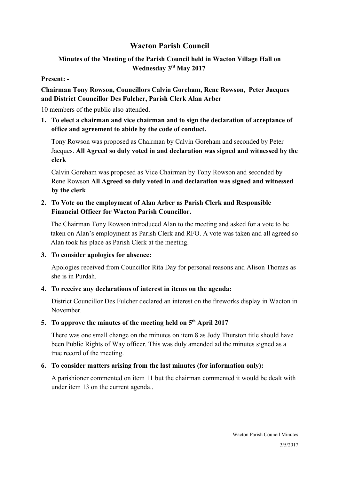# **Wacton Parish Council**

## **Minutes of the Meeting of the Parish Council held in Wacton Village Hall on Wednesday 3rd May 2017**

### **Present: -**

# **Chairman Tony Rowson, Councillors Calvin Goreham, Rene Rowson, Peter Jacques and District Councillor Des Fulcher, Parish Clerk Alan Arber**

10 members of the public also attended.

**1. To elect a chairman and vice chairman and to sign the declaration of acceptance of office and agreement to abide by the code of conduct.**

Tony Rowson was proposed as Chairman by Calvin Goreham and seconded by Peter Jacques. **All Agreed so duly voted in and declaration was signed and witnessed by the clerk**

Calvin Goreham was proposed as Vice Chairman by Tony Rowson and seconded by Rene Rowson **All Agreed so duly voted in and declaration was signed and witnessed by the clerk**

## **2. To Vote on the employment of Alan Arber as Parish Clerk and Responsible Financial Officer for Wacton Parish Councillor.**

The Chairman Tony Rowson introduced Alan to the meeting and asked for a vote to be taken on Alan's employment as Parish Clerk and RFO. A vote was taken and all agreed so Alan took his place as Parish Clerk at the meeting.

**3. To consider apologies for absence:**

Apologies received from Councillor Rita Day for personal reasons and Alison Thomas as she is in Purdah.

## **4. To receive any declarations of interest in items on the agenda:**

District Councillor Des Fulcher declared an interest on the fireworks display in Wacton in November.

## **5. To approve the minutes of the meeting held on 5th April 2017**

There was one small change on the minutes on item 8 as Jody Thurston title should have been Public Rights of Way officer. This was duly amended ad the minutes signed as a true record of the meeting.

# **6. To consider matters arising from the last minutes (for information only):**

A parishioner commented on item 11 but the chairman commented it would be dealt with under item 13 on the current agenda..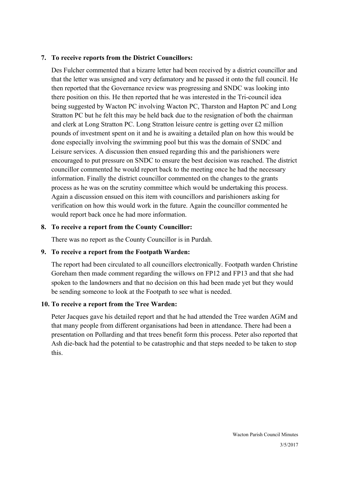### **7. To receive reports from the District Councillors:**

Des Fulcher commented that a bizarre letter had been received by a district councillor and that the letter was unsigned and very defamatory and he passed it onto the full council. He then reported that the Governance review was progressing and SNDC was looking into there position on this. He then reported that he was interested in the Tri-council idea being suggested by Wacton PC involving Wacton PC, Tharston and Hapton PC and Long Stratton PC but he felt this may be held back due to the resignation of both the chairman and clerk at Long Stratton PC. Long Stratton leisure centre is getting over £2 million pounds of investment spent on it and he is awaiting a detailed plan on how this would be done especially involving the swimming pool but this was the domain of SNDC and Leisure services. A discussion then ensued regarding this and the parishioners were encouraged to put pressure on SNDC to ensure the best decision was reached. The district councillor commented he would report back to the meeting once he had the necessary information. Finally the district councillor commented on the changes to the grants process as he was on the scrutiny committee which would be undertaking this process. Again a discussion ensued on this item with councillors and parishioners asking for verification on how this would work in the future. Again the councillor commented he would report back once he had more information.

### **8. To receive a report from the County Councillor:**

There was no report as the County Councillor is in Purdah.

## **9. To receive a report from the Footpath Warden:**

The report had been circulated to all councillors electronically. Footpath warden Christine Goreham then made comment regarding the willows on FP12 and FP13 and that she had spoken to the landowners and that no decision on this had been made yet but they would be sending someone to look at the Footpath to see what is needed.

## **10. To receive a report from the Tree Warden:**

Peter Jacques gave his detailed report and that he had attended the Tree warden AGM and that many people from different organisations had been in attendance. There had been a presentation on Pollarding and that trees benefit form this process. Peter also reported that Ash die-back had the potential to be catastrophic and that steps needed to be taken to stop this.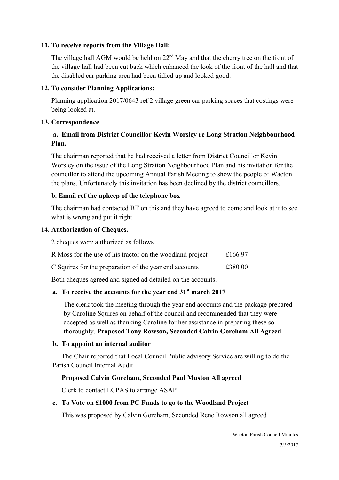### **11. To receive reports from the Village Hall:**

The village hall AGM would be held on  $22<sup>nd</sup>$  May and that the cherry tree on the front of the village hall had been cut back which enhanced the look of the front of the hall and that the disabled car parking area had been tidied up and looked good.

### **12. To consider Planning Applications:**

Planning application 2017/0643 ref 2 village green car parking spaces that costings were being looked at.

#### **13. Correspondence**

## **a. Email from District Councillor Kevin Worsley re Long Stratton Neighbourhood Plan.**

The chairman reported that he had received a letter from District Councillor Kevin Worsley on the issue of the Long Stratton Neighbourhood Plan and his invitation for the councillor to attend the upcoming Annual Parish Meeting to show the people of Wacton the plans. Unfortunately this invitation has been declined by the district councillors.

### **b. Email ref the upkeep of the telephone box**

The chairman had contacted BT on this and they have agreed to come and look at it to see what is wrong and put it right

#### **14. Authorization of Cheques.**

2 cheques were authorized as follows

| R Moss for the use of his tractor on the woodland project | £166.97 |
|-----------------------------------------------------------|---------|
| C Squires for the preparation of the year end accounts    | £380.00 |

Both cheques agreed and signed ad detailed on the accounts.

## **a. To receive the accounts for the year end 31st march 2017**

The clerk took the meeting through the year end accounts and the package prepared by Caroline Squires on behalf of the council and recommended that they were accepted as well as thanking Caroline for her assistance in preparing these so thoroughly. **Proposed Tony Rowson, Seconded Calvin Goreham All Agreed**

#### **b. To appoint an internal auditor**

The Chair reported that Local Council Public advisory Service are willing to do the Parish Council Internal Audit.

#### **Proposed Calvin Goreham, Seconded Paul Muston All agreed**

Clerk to contact LCPAS to arrange ASAP

#### **c. To Vote on £1000 from PC Funds to go to the Woodland Project**

This was proposed by Calvin Goreham, Seconded Rene Rowson all agreed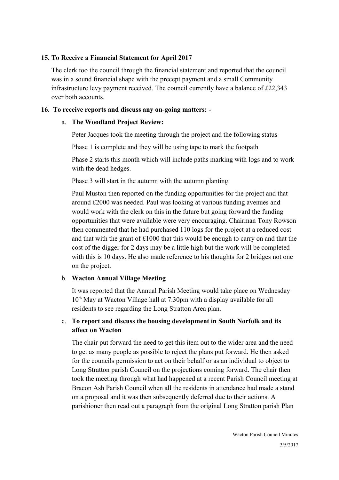### **15. To Receive a Financial Statement for April 2017**

The clerk too the council through the financial statement and reported that the council was in a sound financial shape with the precept payment and a small Community infrastructure levy payment received. The council currently have a balance of £22,343 over both accounts.

### **16. To receive reports and discuss any on-going matters: -**

### a. **The Woodland Project Review:**

Peter Jacques took the meeting through the project and the following status

Phase 1 is complete and they will be using tape to mark the footpath

Phase 2 starts this month which will include paths marking with logs and to work with the dead hedges.

Phase 3 will start in the autumn with the autumn planting.

Paul Muston then reported on the funding opportunities for the project and that around £2000 was needed. Paul was looking at various funding avenues and would work with the clerk on this in the future but going forward the funding opportunities that were available were very encouraging. Chairman Tony Rowson then commented that he had purchased 110 logs for the project at a reduced cost and that with the grant of  $\pounds 1000$  that this would be enough to carry on and that the cost of the digger for 2 days may be a little high but the work will be completed with this is 10 days. He also made reference to his thoughts for 2 bridges not one on the project.

## b. **Wacton Annual Village Meeting**

It was reported that the Annual Parish Meeting would take place on Wednesday  $10<sup>th</sup>$  May at Wacton Village hall at 7.30pm with a display available for all residents to see regarding the Long Stratton Area plan.

## c. **To report and discuss the housing development in South Norfolk and its affect on Wacton**

The chair put forward the need to get this item out to the wider area and the need to get as many people as possible to reject the plans put forward. He then asked for the councils permission to act on their behalf or as an individual to object to Long Stratton parish Council on the projections coming forward. The chair then took the meeting through what had happened at a recent Parish Council meeting at Bracon Ash Parish Council when all the residents in attendance had made a stand on a proposal and it was then subsequently deferred due to their actions. A parishioner then read out a paragraph from the original Long Stratton parish Plan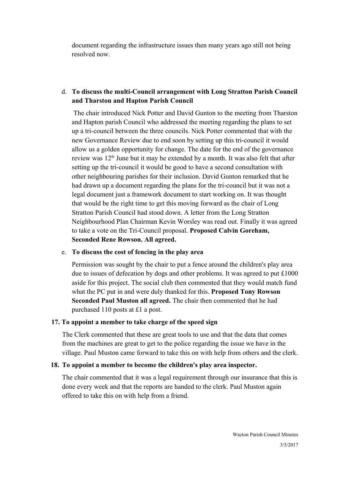document regarding the infrastructure issues then many years ago still not being resolved now.

## d. **To discuss the multi-Council arrangement with Long Stratton Parish Council and Tharston and Hapton Parish Council**

The chair introduced Nick Potter and David Gunton to the meeting from Tharston and Hapton parish Council who addressed the meeting regarding the plans to set up a tri-council between the three councils. Nick Potter commented that with the new Governance Review due to end soon by setting up this tri-council it would allow us a golden opportunity for change. The date for the end of the governance review was  $12<sup>th</sup>$  June but it may be extended by a month. It was also felt that after setting up the tri-council it would be good to have a second consultation with other neighbouring parishes for their inclusion. David Gunton remarked that he had drawn up a document regarding the plans for the tri-council but it was not a legal document just a framework document to start working on. It was thought that would be the right time to get this moving forward as the chair of Long Stratton Parish Council had stood down. A letter from the Long Stratton Neighbourhood Plan Chairman Kevin Worsley was read out. Finally it was agreed to take a vote on the Tri-Council proposal. **Proposed Calvin Goreham, Seconded Rene Rowson. All agreed.**

#### e. **To discuss the cost of fencing in the play area**

Permission was sought by the chair to put a fence around the children's play area due to issues of defecation by dogs and other problems. It was agreed to put £1000 aside for this project. The social club then commented that they would match fund what the PC put in and were duly thanked for this. **Proposed Tony Rowson Seconded Paul Muston all agreed.** The chair then commented that he had purchased 110 posts at £1 a post.

#### **17. To appoint a member to take charge of the speed sign**

The Clerk commented that these are great tools to use and that the data that comes from the machines are great to get to the police regarding the issue we have in the village. Paul Muston came forward to take this on with help from others and the clerk.

#### **18. To appoint a member to become the children's play area inspector.**

The chair commented that it was a legal requirement through our insurance that this is done every week and that the reports are handed to the clerk. Paul Muston again offered to take this on with help from a friend.